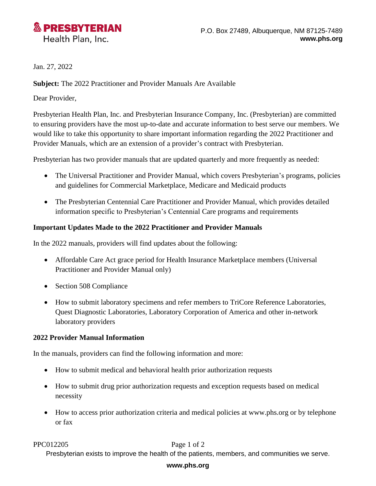

Jan. 27, 2022

**Subject:** The 2022 Practitioner and Provider Manuals Are Available

Dear Provider,

Presbyterian Health Plan, Inc. and Presbyterian Insurance Company, Inc. (Presbyterian) are committed to ensuring providers have the most up-to-date and accurate information to best serve our members. We would like to take this opportunity to share important information regarding the 2022 Practitioner and Provider Manuals, which are an extension of a provider's contract with Presbyterian.

Presbyterian has two provider manuals that are updated quarterly and more frequently as needed:

- The Universal Practitioner and Provider Manual, which covers Presbyterian's programs, policies and guidelines for Commercial Marketplace, Medicare and Medicaid products
- The Presbyterian Centennial Care Practitioner and Provider Manual, which provides detailed information specific to Presbyterian's Centennial Care programs and requirements

# **Important Updates Made to the 2022 Practitioner and Provider Manuals**

In the 2022 manuals, providers will find updates about the following:

- Affordable Care Act grace period for Health Insurance Marketplace members (Universal Practitioner and Provider Manual only)
- Section 508 Compliance
- How to submit laboratory specimens and refer members to TriCore Reference Laboratories, Quest Diagnostic Laboratories, Laboratory Corporation of America and other in-network laboratory providers

# **2022 Provider Manual Information**

In the manuals, providers can find the following information and more:

- How to submit medical and behavioral health prior authorization requests
- How to submit drug prior authorization requests and exception requests based on medical necessity
- How to access prior authorization criteria and medical policies at www.phs.org or by telephone or fax

PPC012205 Page 1 of 2

Presbyterian exists to improve the health of the patients, members, and communities we serve.

# **www.phs.org**